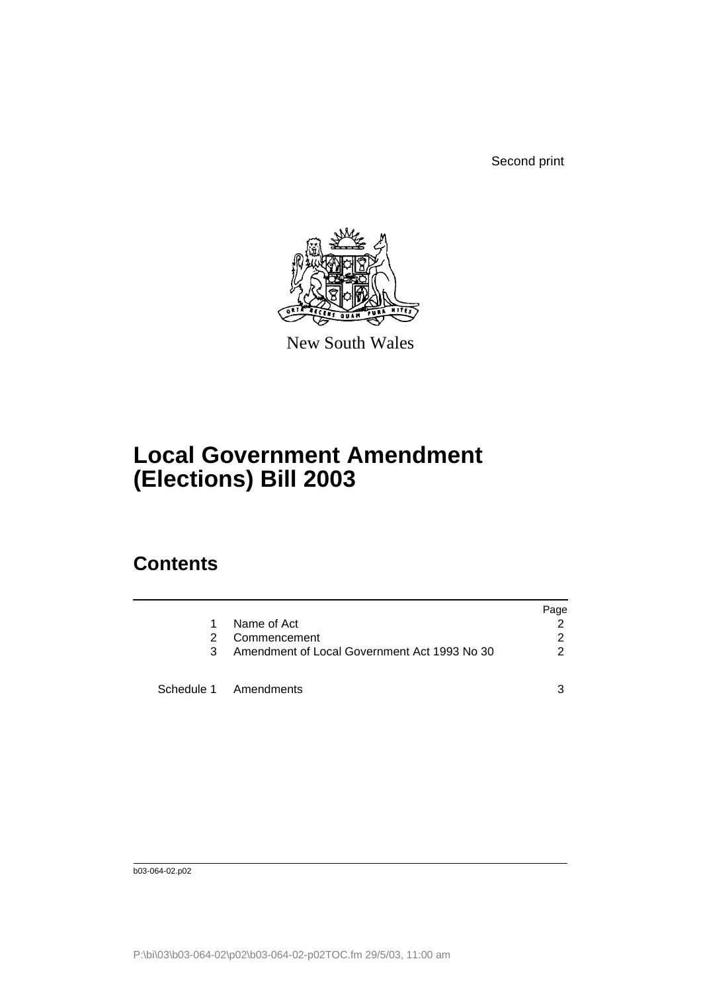Second print



New South Wales

# **Local Government Amendment (Elections) Bill 2003**

### **Contents**

|    |                                              | Page          |
|----|----------------------------------------------|---------------|
| 1. | Name of Act                                  |               |
| 2  | Commencement                                 | 2             |
| 3  | Amendment of Local Government Act 1993 No 30 | $\mathcal{P}$ |
|    | Schedule 1 Amendments                        | 3             |

b03-064-02.p02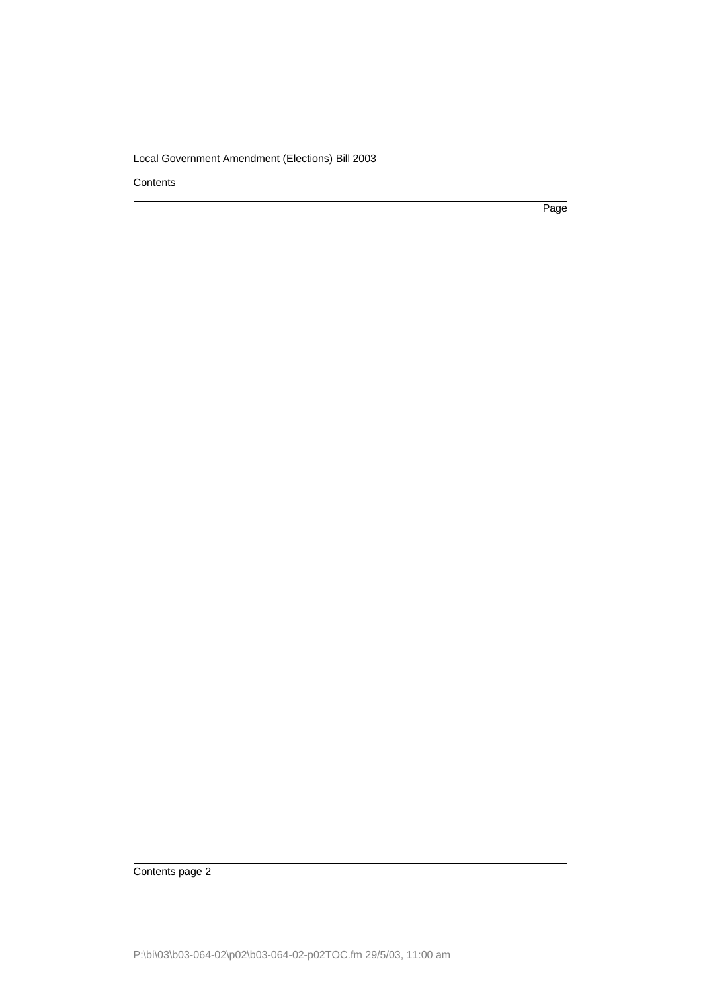**Contents** 

Page

Contents page 2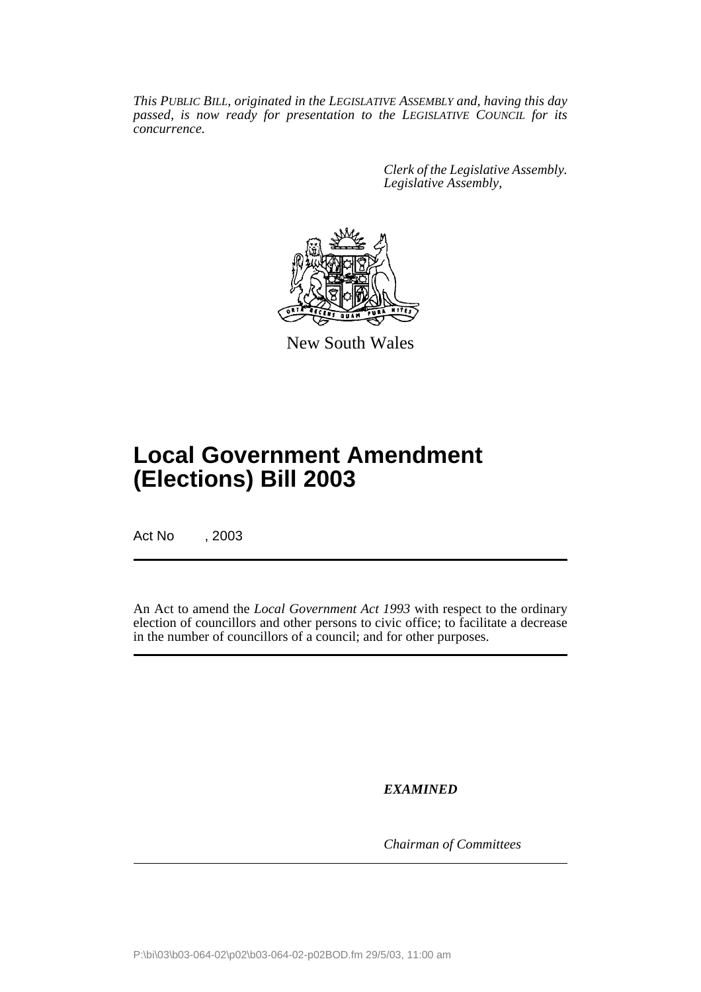*This PUBLIC BILL, originated in the LEGISLATIVE ASSEMBLY and, having this day passed, is now ready for presentation to the LEGISLATIVE COUNCIL for its concurrence.*

> *Clerk of the Legislative Assembly. Legislative Assembly,*



New South Wales

## **Local Government Amendment (Elections) Bill 2003**

Act No , 2003

An Act to amend the *Local Government Act 1993* with respect to the ordinary election of councillors and other persons to civic office; to facilitate a decrease in the number of councillors of a council; and for other purposes.

*EXAMINED*

*Chairman of Committees*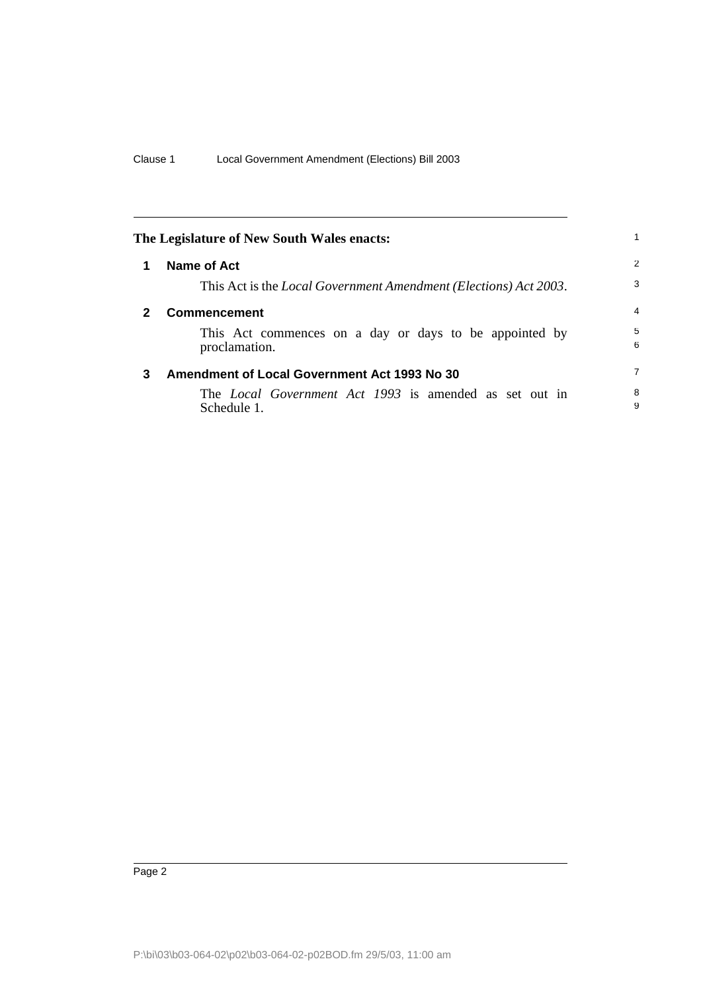<span id="page-3-2"></span><span id="page-3-1"></span><span id="page-3-0"></span>

| The Legislature of New South Wales enacts: |                                                                              |                |
|--------------------------------------------|------------------------------------------------------------------------------|----------------|
|                                            | Name of Act                                                                  | 2              |
|                                            | This Act is the <i>Local Government Amendment (Elections) Act 2003</i> .     | 3              |
| 2                                          | <b>Commencement</b>                                                          | $\overline{4}$ |
|                                            | This Act commences on a day or days to be appointed by<br>proclamation.      | 5<br>6         |
| 3                                          | Amendment of Local Government Act 1993 No 30                                 | $\overline{7}$ |
|                                            | The <i>Local Government Act 1993</i> is amended as set out in<br>Schedule 1. | 8<br>9         |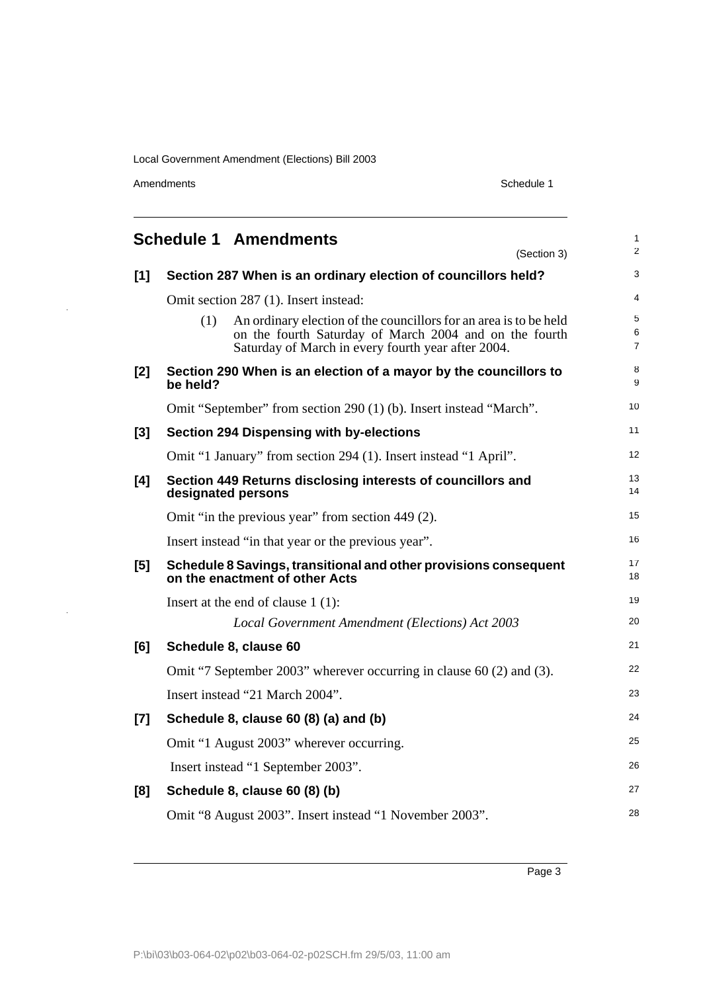Amendments Schedule 1

 $\bar{\bar{z}}$ 

<span id="page-4-0"></span>

| <b>Schedule 1 Amendments</b><br>(Section 3) |                                                                                                                                                                                          |             |  |  |
|---------------------------------------------|------------------------------------------------------------------------------------------------------------------------------------------------------------------------------------------|-------------|--|--|
| $[1]$                                       | Section 287 When is an ordinary election of councillors held?                                                                                                                            | 3           |  |  |
|                                             | Omit section 287 (1). Insert instead:                                                                                                                                                    | 4           |  |  |
|                                             | (1)<br>An ordinary election of the councillors for an area is to be held<br>on the fourth Saturday of March 2004 and on the fourth<br>Saturday of March in every fourth year after 2004. | 5<br>6<br>7 |  |  |
| [2]                                         | Section 290 When is an election of a mayor by the councillors to<br>be held?                                                                                                             | 8<br>9      |  |  |
|                                             | Omit "September" from section 290 (1) (b). Insert instead "March".                                                                                                                       | 10          |  |  |
| $[3]$                                       | <b>Section 294 Dispensing with by-elections</b>                                                                                                                                          | 11          |  |  |
|                                             | Omit "1 January" from section 294 (1). Insert instead "1 April".                                                                                                                         | 12          |  |  |
| [4]                                         | Section 449 Returns disclosing interests of councillors and<br>designated persons                                                                                                        | 13<br>14    |  |  |
|                                             | Omit "in the previous year" from section 449 (2).                                                                                                                                        | 15          |  |  |
|                                             | Insert instead "in that year or the previous year".                                                                                                                                      | 16          |  |  |
| [5]                                         | Schedule 8 Savings, transitional and other provisions consequent<br>on the enactment of other Acts                                                                                       | 17<br>18    |  |  |
|                                             | Insert at the end of clause $1(1)$ :                                                                                                                                                     | 19          |  |  |
|                                             | Local Government Amendment (Elections) Act 2003                                                                                                                                          | 20          |  |  |
| [6]                                         | Schedule 8, clause 60                                                                                                                                                                    | 21          |  |  |
|                                             | Omit "7 September 2003" wherever occurring in clause 60 (2) and (3).                                                                                                                     | 22          |  |  |
|                                             | Insert instead "21 March 2004".                                                                                                                                                          | 23          |  |  |
| $[7]$                                       | Schedule 8, clause 60 (8) (a) and (b)                                                                                                                                                    | 24          |  |  |
|                                             | Omit "1 August 2003" wherever occurring.                                                                                                                                                 | 25          |  |  |
|                                             | Insert instead "1 September 2003".                                                                                                                                                       | 26          |  |  |
| [8]                                         | Schedule 8, clause 60 (8) (b)                                                                                                                                                            | 27          |  |  |
|                                             | Omit "8 August 2003". Insert instead "1 November 2003".                                                                                                                                  | 28          |  |  |

Page 3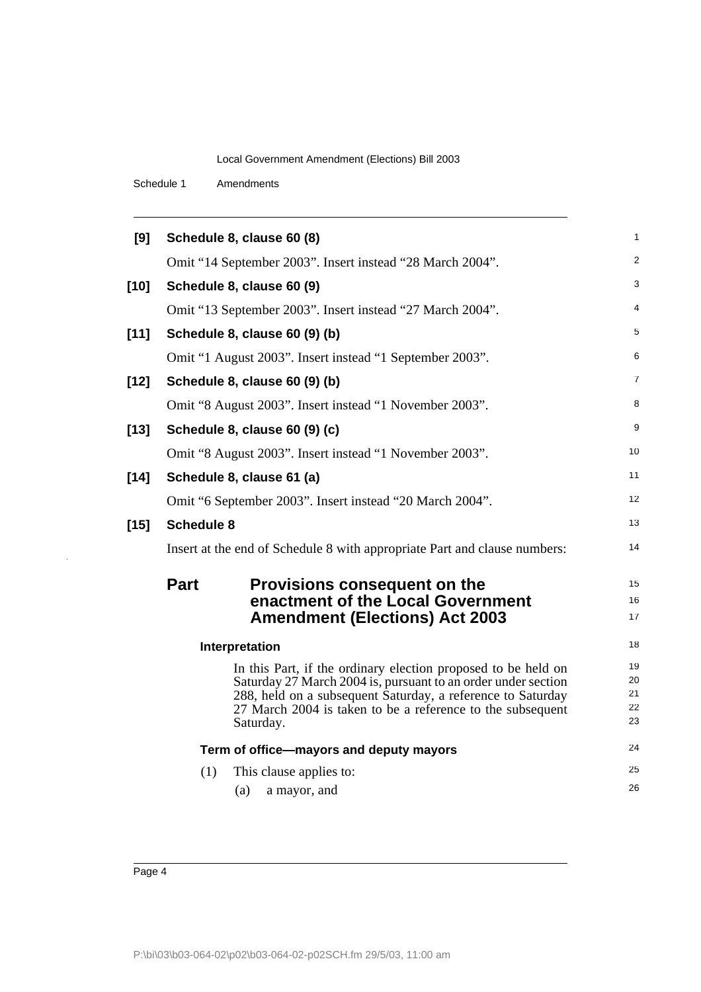Schedule 1 Amendments

| [9]    | Schedule 8, clause 60 (8)                                                                                                                                                                                                                                                | 1                          |
|--------|--------------------------------------------------------------------------------------------------------------------------------------------------------------------------------------------------------------------------------------------------------------------------|----------------------------|
|        | Omit "14 September 2003". Insert instead "28 March 2004".                                                                                                                                                                                                                | $\overline{c}$             |
| $[10]$ | Schedule 8, clause 60 (9)                                                                                                                                                                                                                                                | 3                          |
|        | Omit "13 September 2003". Insert instead "27 March 2004".                                                                                                                                                                                                                | 4                          |
| $[11]$ | Schedule 8, clause 60 (9) (b)                                                                                                                                                                                                                                            | 5                          |
|        | Omit "1 August 2003". Insert instead "1 September 2003".                                                                                                                                                                                                                 | 6                          |
| $[12]$ | Schedule 8, clause 60 (9) (b)                                                                                                                                                                                                                                            | 7                          |
|        | Omit "8 August 2003". Insert instead "1 November 2003".                                                                                                                                                                                                                  | 8                          |
| $[13]$ | Schedule 8, clause 60 (9) (c)                                                                                                                                                                                                                                            | 9                          |
|        | Omit "8 August 2003". Insert instead "1 November 2003".                                                                                                                                                                                                                  |                            |
| $[14]$ | Schedule 8, clause 61 (a)                                                                                                                                                                                                                                                | 11                         |
|        | Omit "6 September 2003". Insert instead "20 March 2004".                                                                                                                                                                                                                 |                            |
| $[15]$ | <b>Schedule 8</b>                                                                                                                                                                                                                                                        | 13                         |
|        | Insert at the end of Schedule 8 with appropriate Part and clause numbers:                                                                                                                                                                                                | 14                         |
|        | <b>Part</b><br><b>Provisions consequent on the</b>                                                                                                                                                                                                                       | 15                         |
|        | enactment of the Local Government<br><b>Amendment (Elections) Act 2003</b>                                                                                                                                                                                               | 16<br>17                   |
|        | Interpretation                                                                                                                                                                                                                                                           | 18                         |
|        | In this Part, if the ordinary election proposed to be held on<br>Saturday 27 March 2004 is, pursuant to an order under section<br>288, held on a subsequent Saturday, a reference to Saturday<br>27 March 2004 is taken to be a reference to the subsequent<br>Saturday. | 19<br>20<br>21<br>22<br>23 |
|        | Term of office—mayors and deputy mayors                                                                                                                                                                                                                                  | 24                         |
|        | (1)<br>This clause applies to:<br>(a)<br>a mayor, and                                                                                                                                                                                                                    | 25<br>26                   |
|        |                                                                                                                                                                                                                                                                          |                            |

l,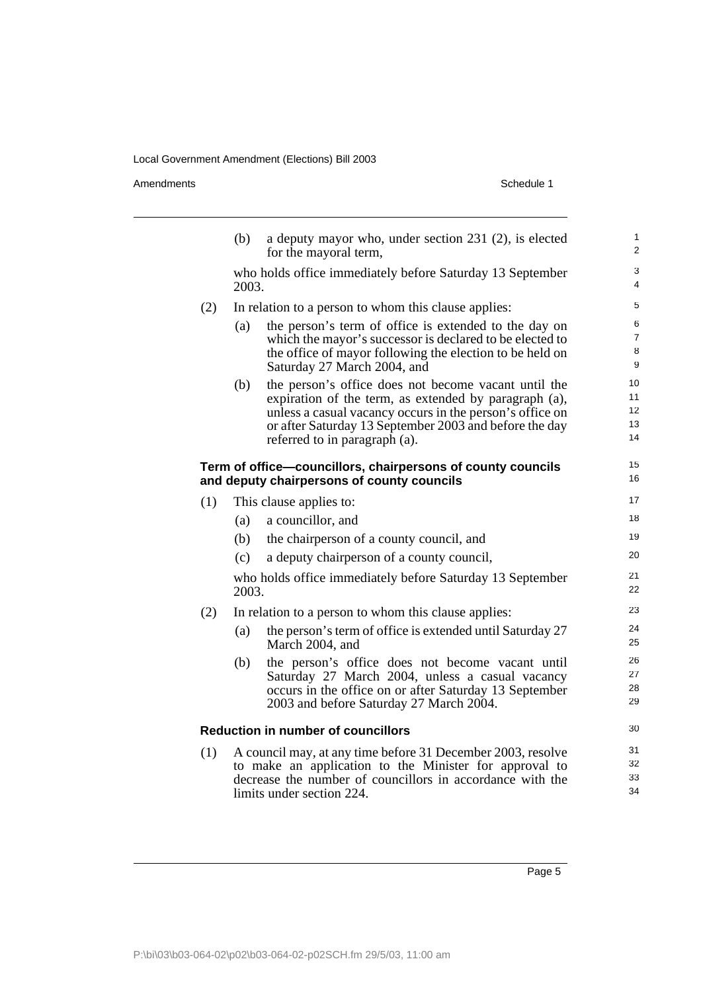Amendments Schedule 1

|     | (b)                                                                | a deputy mayor who, under section 231 (2), is elected<br>for the mayoral term,                                     | 1<br>2   |
|-----|--------------------------------------------------------------------|--------------------------------------------------------------------------------------------------------------------|----------|
|     | 2003.                                                              | who holds office immediately before Saturday 13 September                                                          | 3<br>4   |
| (2) | In relation to a person to whom this clause applies:               |                                                                                                                    | 5        |
|     | (a)                                                                | the person's term of office is extended to the day on                                                              | 6        |
|     |                                                                    | which the mayor's successor is declared to be elected to                                                           | 7<br>8   |
|     |                                                                    | the office of mayor following the election to be held on<br>Saturday 27 March 2004, and                            | 9        |
|     | (b)                                                                | the person's office does not become vacant until the                                                               | 10       |
|     |                                                                    | expiration of the term, as extended by paragraph (a),                                                              | 11<br>12 |
|     |                                                                    | unless a casual vacancy occurs in the person's office on<br>or after Saturday 13 September 2003 and before the day | 13       |
|     |                                                                    | referred to in paragraph (a).                                                                                      | 14       |
|     |                                                                    | Term of office—councillors, chairpersons of county councils                                                        | 15       |
|     |                                                                    | and deputy chairpersons of county councils                                                                         | 16       |
| (1) | This clause applies to:                                            |                                                                                                                    | 17       |
|     | (a)                                                                | a councillor, and                                                                                                  | 18       |
|     | (b)                                                                | the chairperson of a county council, and                                                                           | 19       |
|     | (c)                                                                | a deputy chairperson of a county council,                                                                          | 20       |
|     | who holds office immediately before Saturday 13 September<br>2003. |                                                                                                                    | 21<br>22 |
| (2) |                                                                    | In relation to a person to whom this clause applies:                                                               | 23       |
|     | (a)                                                                | the person's term of office is extended until Saturday 27                                                          | 24       |
|     |                                                                    | March 2004, and                                                                                                    | 25       |
|     | (b)                                                                | the person's office does not become vacant until                                                                   | 26<br>27 |
|     |                                                                    | Saturday 27 March 2004, unless a casual vacancy<br>occurs in the office on or after Saturday 13 September          | 28       |
|     |                                                                    | 2003 and before Saturday 27 March 2004.                                                                            | 29       |
|     |                                                                    | <b>Reduction in number of councillors</b>                                                                          | 30       |
| (1) |                                                                    | A council may, at any time before 31 December 2003, resolve                                                        | 31       |
|     |                                                                    | to make an application to the Minister for approval to                                                             | 32       |
|     |                                                                    | decrease the number of councillors in accordance with the                                                          | 33       |
|     |                                                                    | limits under section 224.                                                                                          | 34       |

Page 5